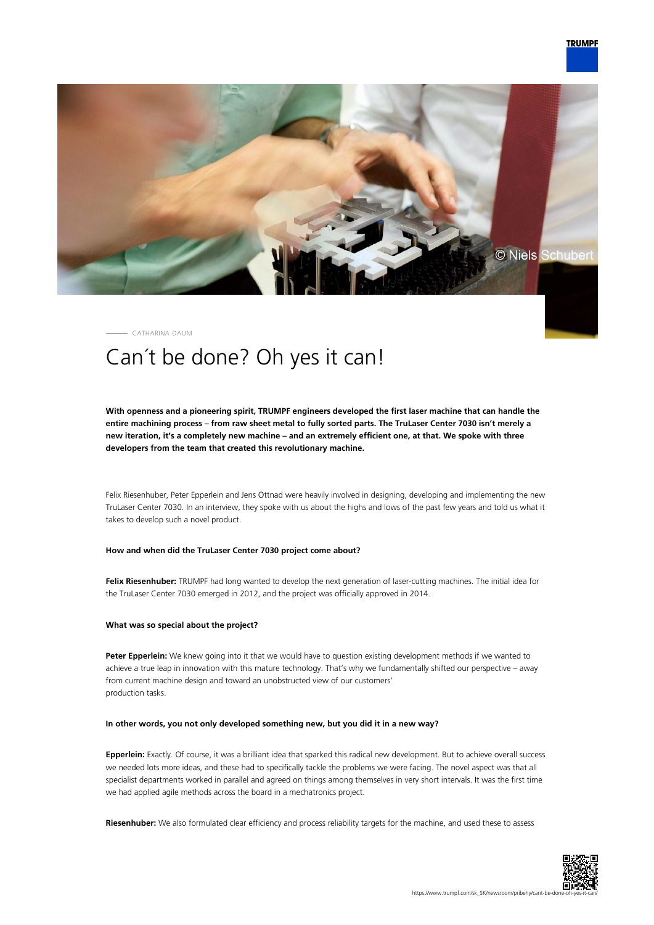

CATHARINA DAUM

# Can´t be done? Oh yes it can!

**With openness and a pioneering spirit, TRUMPF engineers developed the first laser machine that can handle the entire machining process – from raw sheet metal to fully sorted parts. The TruLaser Center 7030 isn't merely a new iteration, it's a completely new machine – and an extremely efficient one, at that. We spoke with three developers from the team that created this revolutionary machine.**

Felix Riesenhuber, Peter Epperlein and Jens Ottnad were heavily involved in designing, developing and implementing the new TruLaser Center 7030. In an interview, they spoke with us about the highs and lows of the past few years and told us what it takes to develop such a novel product.

# **How and when did the TruLaser Center 7030 project come about?**

**Felix Riesenhuber:** TRUMPF had long wanted to develop the next generation of laser-cutting machines. The initial idea for the TruLaser Center 7030 emerged in 2012, and the project was officially approved in 2014.

#### **What was so special about the project?**

**Peter Epperlein:** We knew going into it that we would have to question existing development methods if we wanted to achieve a true leap in innovation with this mature technology. That's why we fundamentally shifted our perspective – away from current machine design and toward an unobstructed view of our customers' production tasks.

#### **In other words, you not only developed something new, but you did it in a new way?**

**Epperlein:** Exactly. Of course, it was a brilliant idea that sparked this radical new development. But to achieve overall success we needed lots more ideas, and these had to specifically tackle the problems we were facing. The novel aspect was that all specialist departments worked in parallel and agreed on things among themselves in very short intervals. It was the first time we had applied agile methods across the board in a mechatronics project.

**Riesenhuber:** We also formulated clear efficiency and process reliability targets for the machine, and used these to assess

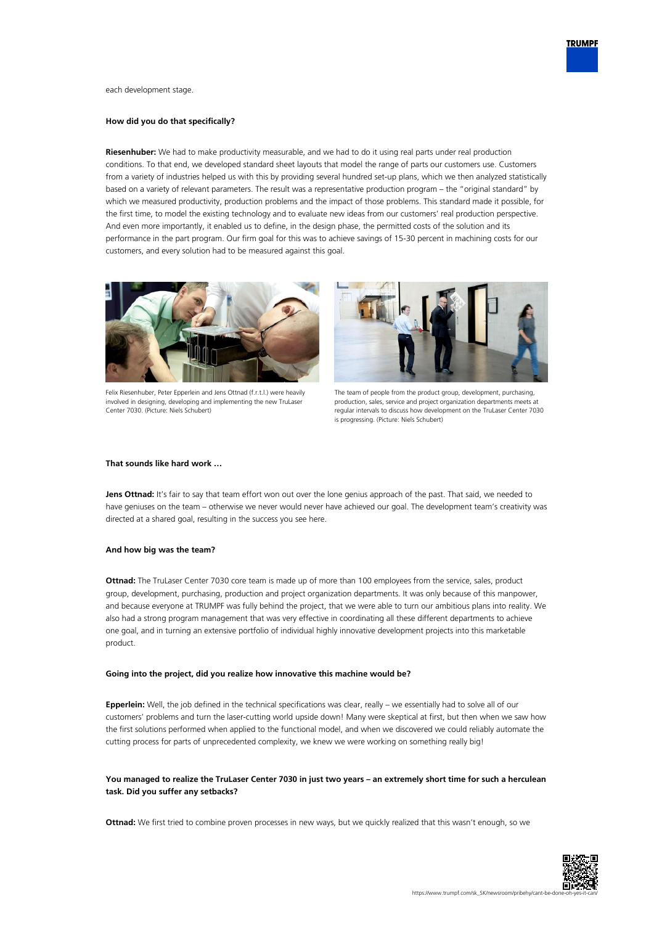

each development stage.

#### **How did you do that specifically?**

**Riesenhuber:** We had to make productivity measurable, and we had to do it using real parts under real production conditions. To that end, we developed standard sheet layouts that model the range of parts our customers use. Customers from a variety of industries helped us with this by providing several hundred set-up plans, which we then analyzed statistically based on a variety of relevant parameters. The result was a representative production program – the "original standard" by which we measured productivity, production problems and the impact of those problems. This standard made it possible, for the first time, to model the existing technology and to evaluate new ideas from our customers' real production perspective. And even more importantly, it enabled us to define, in the design phase, the permitted costs of the solution and its performance in the part program. Our firm goal for this was to achieve savings of 15-30 percent in machining costs for our customers, and every solution had to be measured against this goal.



Felix Riesenhuber, Peter Epperlein and Jens Ottnad (f.r.t.l.) were heavily involved in designing, developing and implementing the new TruLaser Center 7030. (Picture: Niels Schubert)



The team of people from the product group, development, purchasing, production, sales, service and project organization departments meets at regular intervals to discuss how development on the TruLaser Center 7030 is progressing. (Picture: Niels Schubert)

# **That sounds like hard work …**

Jens Ottnad: It's fair to say that team effort won out over the lone genius approach of the past. That said, we needed to have geniuses on the team – otherwise we never would never have achieved our goal. The development team's creativity was directed at a shared goal, resulting in the success you see here.

#### **And how big was the team?**

**Ottnad:** The TruLaser Center 7030 core team is made up of more than 100 employees from the service, sales, product group, development, purchasing, production and project organization departments. It was only because of this manpower, and because everyone at TRUMPF was fully behind the project, that we were able to turn our ambitious plans into reality. We also had a strong program management that was very effective in coordinating all these different departments to achieve one goal, and in turning an extensive portfolio of individual highly innovative development projects into this marketable product.

#### **Going into the project, did you realize how innovative this machine would be?**

**Epperlein:** Well, the job defined in the technical specifications was clear, really – we essentially had to solve all of our customers' problems and turn the laser-cutting world upside down! Many were skeptical at first, but then when we saw how the first solutions performed when applied to the functional model, and when we discovered we could reliably automate the cutting process for parts of unprecedented complexity, we knew we were working on something really big!

# **You managed to realize the TruLaser Center 7030 in just two years – an extremely short time for such a herculean task. Did you suffer any setbacks?**

**Ottnad:** We first tried to combine proven processes in new ways, but we quickly realized that this wasn't enough, so we